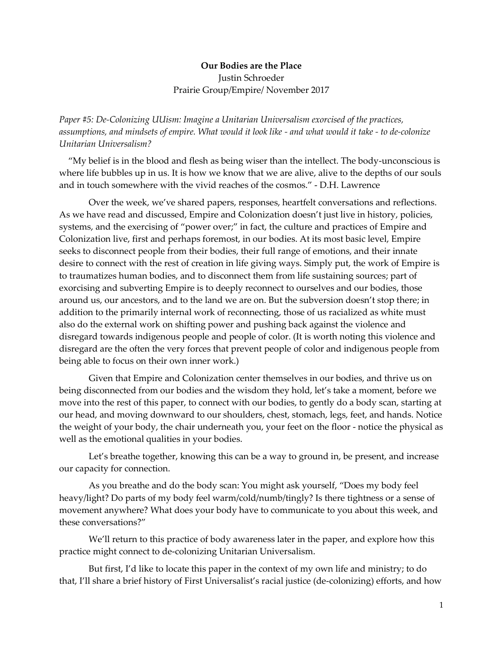## **Our Bodies are the Place** Justin Schroeder Prairie Group/Empire/ November 2017

*Paper #5: De-Colonizing UUism: Imagine a Unitarian Universalism exorcised of the practices, assumptions, and mindsets of empire. What would it look like - and what would it take - to de-colonize Unitarian Universalism?* 

"My belief is in the blood and flesh as being wiser than the intellect. The body-unconscious is where life bubbles up in us. It is how we know that we are alive, alive to the depths of our souls and in touch somewhere with the vivid reaches of the cosmos." - D.H. Lawrence

Over the week, we've shared papers, responses, heartfelt conversations and reflections. As we have read and discussed, Empire and Colonization doesn't just live in history, policies, systems, and the exercising of "power over;" in fact, the culture and practices of Empire and Colonization live, first and perhaps foremost, in our bodies. At its most basic level, Empire seeks to disconnect people from their bodies, their full range of emotions, and their innate desire to connect with the rest of creation in life giving ways. Simply put, the work of Empire is to traumatizes human bodies, and to disconnect them from life sustaining sources; part of exorcising and subverting Empire is to deeply reconnect to ourselves and our bodies, those around us, our ancestors, and to the land we are on. But the subversion doesn't stop there; in addition to the primarily internal work of reconnecting, those of us racialized as white must also do the external work on shifting power and pushing back against the violence and disregard towards indigenous people and people of color. (It is worth noting this violence and disregard are the often the very forces that prevent people of color and indigenous people from being able to focus on their own inner work.)

Given that Empire and Colonization center themselves in our bodies, and thrive us on being disconnected from our bodies and the wisdom they hold, let's take a moment, before we move into the rest of this paper, to connect with our bodies, to gently do a body scan, starting at our head, and moving downward to our shoulders, chest, stomach, legs, feet, and hands. Notice the weight of your body, the chair underneath you, your feet on the floor - notice the physical as well as the emotional qualities in your bodies.

Let's breathe together, knowing this can be a way to ground in, be present, and increase our capacity for connection.

As you breathe and do the body scan: You might ask yourself, "Does my body feel heavy/light? Do parts of my body feel warm/cold/numb/tingly? Is there tightness or a sense of movement anywhere? What does your body have to communicate to you about this week, and these conversations?"

We'll return to this practice of body awareness later in the paper, and explore how this practice might connect to de-colonizing Unitarian Universalism.

But first, I'd like to locate this paper in the context of my own life and ministry; to do that, I'll share a brief history of First Universalist's racial justice (de-colonizing) efforts, and how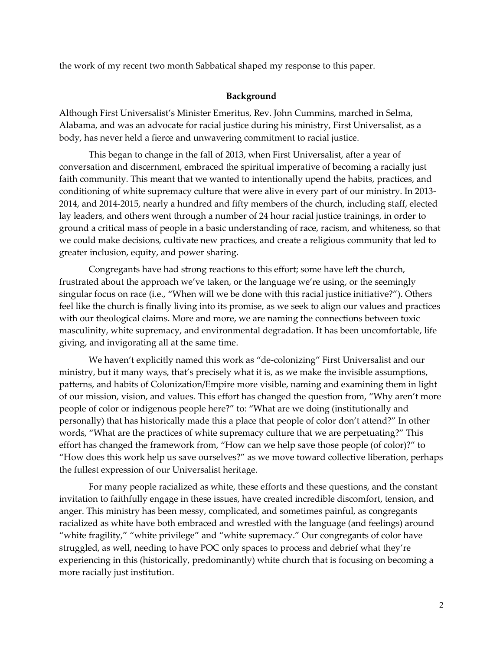the work of my recent two month Sabbatical shaped my response to this paper.

## **Background**

Although First Universalist's Minister Emeritus, Rev. John Cummins, marched in Selma, Alabama, and was an advocate for racial justice during his ministry, First Universalist, as a body, has never held a fierce and unwavering commitment to racial justice.

This began to change in the fall of 2013, when First Universalist, after a year of conversation and discernment, embraced the spiritual imperative of becoming a racially just faith community. This meant that we wanted to intentionally upend the habits, practices, and conditioning of white supremacy culture that were alive in every part of our ministry. In 2013- 2014, and 2014-2015, nearly a hundred and fifty members of the church, including staff, elected lay leaders, and others went through a number of 24 hour racial justice trainings, in order to ground a critical mass of people in a basic understanding of race, racism, and whiteness, so that we could make decisions, cultivate new practices, and create a religious community that led to greater inclusion, equity, and power sharing.

Congregants have had strong reactions to this effort; some have left the church, frustrated about the approach we've taken, or the language we're using, or the seemingly singular focus on race (i.e., "When will we be done with this racial justice initiative?"). Others feel like the church is finally living into its promise, as we seek to align our values and practices with our theological claims. More and more, we are naming the connections between toxic masculinity, white supremacy, and environmental degradation. It has been uncomfortable, life giving, and invigorating all at the same time.

We haven't explicitly named this work as "de-colonizing" First Universalist and our ministry, but it many ways, that's precisely what it is, as we make the invisible assumptions, patterns, and habits of Colonization/Empire more visible, naming and examining them in light of our mission, vision, and values. This effort has changed the question from, "Why aren't more people of color or indigenous people here?" to: "What are we doing (institutionally and personally) that has historically made this a place that people of color don't attend?" In other words, "What are the practices of white supremacy culture that we are perpetuating?" This effort has changed the framework from, "How can we help save those people (of color)?" to "How does this work help us save ourselves?" as we move toward collective liberation, perhaps the fullest expression of our Universalist heritage.

For many people racialized as white, these efforts and these questions, and the constant invitation to faithfully engage in these issues, have created incredible discomfort, tension, and anger. This ministry has been messy, complicated, and sometimes painful, as congregants racialized as white have both embraced and wrestled with the language (and feelings) around "white fragility," "white privilege" and "white supremacy." Our congregants of color have struggled, as well, needing to have POC only spaces to process and debrief what they're experiencing in this (historically, predominantly) white church that is focusing on becoming a more racially just institution.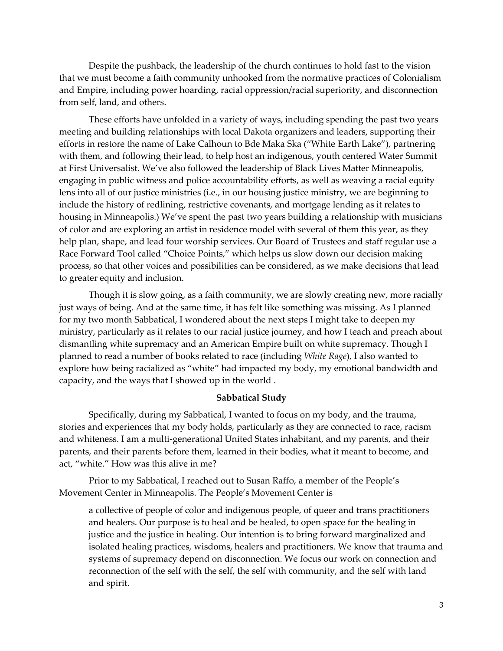Despite the pushback, the leadership of the church continues to hold fast to the vision that we must become a faith community unhooked from the normative practices of Colonialism and Empire, including power hoarding, racial oppression/racial superiority, and disconnection from self, land, and others.

These efforts have unfolded in a variety of ways, including spending the past two years meeting and building relationships with local Dakota organizers and leaders, supporting their efforts in restore the name of Lake Calhoun to Bde Maka Ska ("White Earth Lake"), partnering with them, and following their lead, to help host an indigenous, youth centered Water Summit at First Universalist. We've also followed the leadership of Black Lives Matter Minneapolis, engaging in public witness and police accountability efforts, as well as weaving a racial equity lens into all of our justice ministries (i.e., in our housing justice ministry, we are beginning to include the history of redlining, restrictive covenants, and mortgage lending as it relates to housing in Minneapolis.) We've spent the past two years building a relationship with musicians of color and are exploring an artist in residence model with several of them this year, as they help plan, shape, and lead four worship services. Our Board of Trustees and staff regular use a Race Forward Tool called "Choice Points," which helps us slow down our decision making process, so that other voices and possibilities can be considered, as we make decisions that lead to greater equity and inclusion.

Though it is slow going, as a faith community, we are slowly creating new, more racially just ways of being. And at the same time, it has felt like something was missing. As I planned for my two month Sabbatical, I wondered about the next steps I might take to deepen my ministry, particularly as it relates to our racial justice journey, and how I teach and preach about dismantling white supremacy and an American Empire built on white supremacy. Though I planned to read a number of books related to race (including *White Rage*), I also wanted to explore how being racialized as "white" had impacted my body, my emotional bandwidth and capacity, and the ways that I showed up in the world .

## **Sabbatical Study**

Specifically, during my Sabbatical, I wanted to focus on my body, and the trauma, stories and experiences that my body holds, particularly as they are connected to race, racism and whiteness. I am a multi-generational United States inhabitant, and my parents, and their parents, and their parents before them, learned in their bodies, what it meant to become, and act, "white." How was this alive in me?

Prior to my Sabbatical, I reached out to Susan Raffo, a member of the People's Movement Center in Minneapolis. The People's Movement Center is

a collective of people of color and indigenous people, of queer and trans practitioners and healers. Our purpose is to heal and be healed, to open space for the healing in justice and the justice in healing. Our intention is to bring forward marginalized and isolated healing practices, wisdoms, healers and practitioners. We know that trauma and systems of supremacy depend on disconnection. We focus our work on connection and reconnection of the self with the self, the self with community, and the self with land and spirit.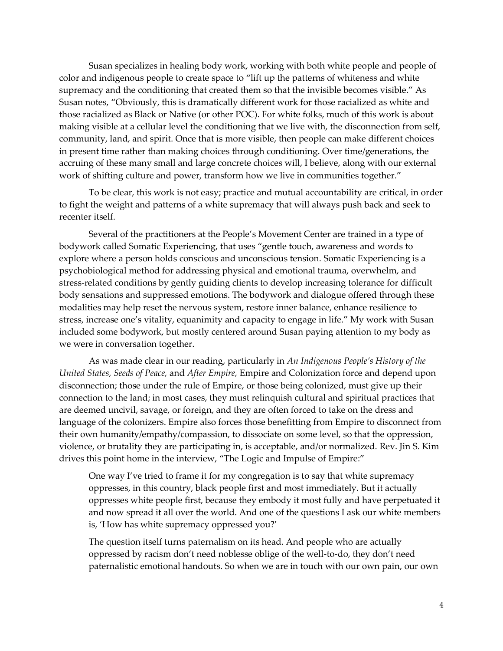Susan specializes in healing body work, working with both white people and people of color and indigenous people to create space to "lift up the patterns of whiteness and white supremacy and the conditioning that created them so that the invisible becomes visible." As Susan notes, "Obviously, this is dramatically different work for those racialized as white and those racialized as Black or Native (or other POC). For white folks, much of this work is about making visible at a cellular level the conditioning that we live with, the disconnection from self, community, land, and spirit. Once that is more visible, then people can make different choices in present time rather than making choices through conditioning. Over time/generations, the accruing of these many small and large concrete choices will, I believe, along with our external work of shifting culture and power, transform how we live in communities together."

To be clear, this work is not easy; practice and mutual accountability are critical, in order to fight the weight and patterns of a white supremacy that will always push back and seek to recenter itself.

Several of the practitioners at the People's Movement Center are trained in a type of bodywork called Somatic Experiencing, that uses "gentle touch, awareness and words to explore where a person holds conscious and unconscious tension. Somatic Experiencing is a psychobiological method for addressing physical and emotional trauma, overwhelm, and stress-related conditions by gently guiding clients to develop increasing tolerance for difficult body sensations and suppressed emotions. The bodywork and dialogue offered through these modalities may help reset the nervous system, restore inner balance, enhance resilience to stress, increase one's vitality, equanimity and capacity to engage in life." My work with Susan included some bodywork, but mostly centered around Susan paying attention to my body as we were in conversation together.

As was made clear in our reading, particularly in *An Indigenous People's History of the United States, Seeds of Peace,* and *After Empire,* Empire and Colonization force and depend upon disconnection; those under the rule of Empire, or those being colonized, must give up their connection to the land; in most cases, they must relinquish cultural and spiritual practices that are deemed uncivil, savage, or foreign, and they are often forced to take on the dress and language of the colonizers. Empire also forces those benefitting from Empire to disconnect from their own humanity/empathy/compassion, to dissociate on some level, so that the oppression, violence, or brutality they are participating in, is acceptable, and/or normalized. Rev. Jin S. Kim drives this point home in the interview, "The Logic and Impulse of Empire:"

One way I've tried to frame it for my congregation is to say that white supremacy oppresses, in this country, black people first and most immediately. But it actually oppresses white people first, because they embody it most fully and have perpetuated it and now spread it all over the world. And one of the questions I ask our white members is, 'How has white supremacy oppressed you?'

The question itself turns paternalism on its head. And people who are actually oppressed by racism don't need noblesse oblige of the well-to-do, they don't need paternalistic emotional handouts. So when we are in touch with our own pain, our own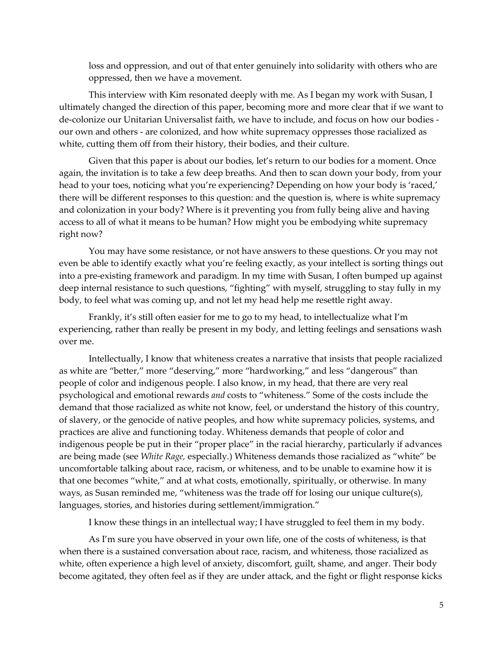loss and oppression, and out of that enter genuinely into solidarity with others who are oppressed, then we have a movement.

This interview with Kim resonated deeply with me. As I began my work with Susan, I ultimately changed the direction of this paper, becoming more and more clear that if we want to de-colonize our Unitarian Universalist faith, we have to include, and focus on how our bodies our own and others - are colonized, and how white supremacy oppresses those racialized as white, cutting them off from their history, their bodies, and their culture.

Given that this paper is about our bodies, let's return to our bodies for a moment. Once again, the invitation is to take a few deep breaths. And then to scan down your body, from your head to your toes, noticing what you're experiencing? Depending on how your body is 'raced,' there will be different responses to this question: and the question is, where is white supremacy and colonization in your body? Where is it preventing you from fully being alive and having access to all of what it means to be human? How might you be embodying white supremacy right now?

You may have some resistance, or not have answers to these questions. Or you may not even be able to identify exactly what you're feeling exactly, as your intellect is sorting things out into a pre-existing framework and paradigm. In my time with Susan, I often bumped up against deep internal resistance to such questions, "fighting" with myself, struggling to stay fully in my body, to feel what was coming up, and not let my head help me resettle right away.

Frankly, it's still often easier for me to go to my head, to intellectualize what I'm experiencing, rather than really be present in my body, and letting feelings and sensations wash over me.

Intellectually, I know that whiteness creates a narrative that insists that people racialized as white are "better," more "deserving," more "hardworking," and less "dangerous" than people of color and indigenous people. I also know, in my head, that there are very real psychological and emotional rewards *and* costs to "whiteness." Some of the costs include the demand that those racialized as white not know, feel, or understand the history of this country, of slavery, or the genocide of native peoples, and how white supremacy policies, systems, and practices are alive and functioning today. Whiteness demands that people of color and indigenous people be put in their "proper place" in the racial hierarchy, particularly if advances are being made (see *White Rage,* especially*.*) Whiteness demands those racialized as "white" be uncomfortable talking about race, racism, or whiteness, and to be unable to examine how it is that one becomes "white," and at what costs, emotionally, spiritually, or otherwise. In many ways, as Susan reminded me, "whiteness was the trade off for losing our unique culture(s), languages, stories, and histories during settlement/immigration."

I know these things in an intellectual way; I have struggled to feel them in my body.

As I'm sure you have observed in your own life, one of the costs of whiteness, is that when there is a sustained conversation about race, racism, and whiteness, those racialized as white, often experience a high level of anxiety, discomfort, guilt, shame, and anger. Their body become agitated, they often feel as if they are under attack, and the fight or flight response kicks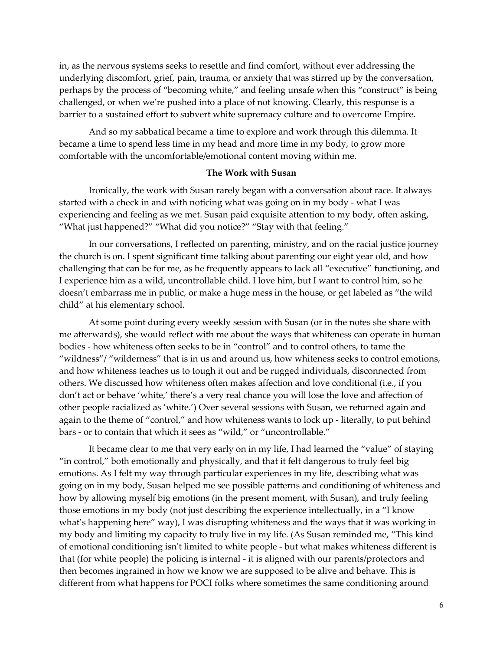in, as the nervous systems seeks to resettle and find comfort, without ever addressing the underlying discomfort, grief, pain, trauma, or anxiety that was stirred up by the conversation, perhaps by the process of "becoming white," and feeling unsafe when this "construct" is being challenged, or when we're pushed into a place of not knowing. Clearly, this response is a barrier to a sustained effort to subvert white supremacy culture and to overcome Empire.

And so my sabbatical became a time to explore and work through this dilemma. It became a time to spend less time in my head and more time in my body, to grow more comfortable with the uncomfortable/emotional content moving within me.

## **The Work with Susan**

Ironically, the work with Susan rarely began with a conversation about race. It always started with a check in and with noticing what was going on in my body - what I was experiencing and feeling as we met. Susan paid exquisite attention to my body, often asking, "What just happened?" "What did you notice?" "Stay with that feeling."

In our conversations, I reflected on parenting, ministry, and on the racial justice journey the church is on. I spent significant time talking about parenting our eight year old, and how challenging that can be for me, as he frequently appears to lack all "executive" functioning, and I experience him as a wild, uncontrollable child. I love him, but I want to control him, so he doesn't embarrass me in public, or make a huge mess in the house, or get labeled as "the wild child" at his elementary school.

At some point during every weekly session with Susan (or in the notes she share with me afterwards), she would reflect with me about the ways that whiteness can operate in human bodies - how whiteness often seeks to be in "control" and to control others, to tame the "wildness"/ "wilderness" that is in us and around us, how whiteness seeks to control emotions, and how whiteness teaches us to tough it out and be rugged individuals, disconnected from others. We discussed how whiteness often makes affection and love conditional (i.e., if you don't act or behave 'white,' there's a very real chance you will lose the love and affection of other people racialized as 'white.') Over several sessions with Susan, we returned again and again to the theme of "control," and how whiteness wants to lock up - literally, to put behind bars - or to contain that which it sees as "wild," or "uncontrollable."

It became clear to me that very early on in my life, I had learned the "value" of staying "in control," both emotionally and physically, and that it felt dangerous to truly feel big emotions. As I felt my way through particular experiences in my life, describing what was going on in my body, Susan helped me see possible patterns and conditioning of whiteness and how by allowing myself big emotions (in the present moment, with Susan), and truly feeling those emotions in my body (not just describing the experience intellectually, in a "I know what's happening here" way), I was disrupting whiteness and the ways that it was working in my body and limiting my capacity to truly live in my life. (As Susan reminded me, "This kind of emotional conditioning isn't limited to white people - but what makes whiteness different is that (for white people) the policing is internal - it is aligned with our parents/protectors and then becomes ingrained in how we know we are supposed to be alive and behave. This is different from what happens for POCI folks where sometimes the same conditioning around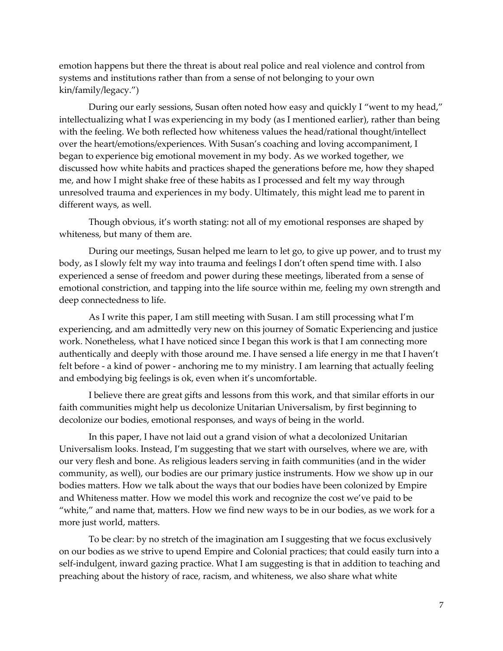emotion happens but there the threat is about real police and real violence and control from systems and institutions rather than from a sense of not belonging to your own kin/family/legacy.")

During our early sessions, Susan often noted how easy and quickly I "went to my head," intellectualizing what I was experiencing in my body (as I mentioned earlier), rather than being with the feeling. We both reflected how whiteness values the head/rational thought/intellect over the heart/emotions/experiences. With Susan's coaching and loving accompaniment, I began to experience big emotional movement in my body. As we worked together, we discussed how white habits and practices shaped the generations before me, how they shaped me, and how I might shake free of these habits as I processed and felt my way through unresolved trauma and experiences in my body. Ultimately, this might lead me to parent in different ways, as well.

Though obvious, it's worth stating: not all of my emotional responses are shaped by whiteness, but many of them are.

During our meetings, Susan helped me learn to let go, to give up power, and to trust my body, as I slowly felt my way into trauma and feelings I don't often spend time with. I also experienced a sense of freedom and power during these meetings, liberated from a sense of emotional constriction, and tapping into the life source within me, feeling my own strength and deep connectedness to life.

As I write this paper, I am still meeting with Susan. I am still processing what I'm experiencing, and am admittedly very new on this journey of Somatic Experiencing and justice work. Nonetheless, what I have noticed since I began this work is that I am connecting more authentically and deeply with those around me. I have sensed a life energy in me that I haven't felt before - a kind of power - anchoring me to my ministry. I am learning that actually feeling and embodying big feelings is ok, even when it's uncomfortable.

I believe there are great gifts and lessons from this work, and that similar efforts in our faith communities might help us decolonize Unitarian Universalism, by first beginning to decolonize our bodies, emotional responses, and ways of being in the world.

In this paper, I have not laid out a grand vision of what a decolonized Unitarian Universalism looks. Instead, I'm suggesting that we start with ourselves, where we are, with our very flesh and bone. As religious leaders serving in faith communities (and in the wider community, as well), our bodies are our primary justice instruments. How we show up in our bodies matters. How we talk about the ways that our bodies have been colonized by Empire and Whiteness matter. How we model this work and recognize the cost we've paid to be "white," and name that, matters. How we find new ways to be in our bodies, as we work for a more just world, matters.

To be clear: by no stretch of the imagination am I suggesting that we focus exclusively on our bodies as we strive to upend Empire and Colonial practices; that could easily turn into a self-indulgent, inward gazing practice. What I am suggesting is that in addition to teaching and preaching about the history of race, racism, and whiteness, we also share what white